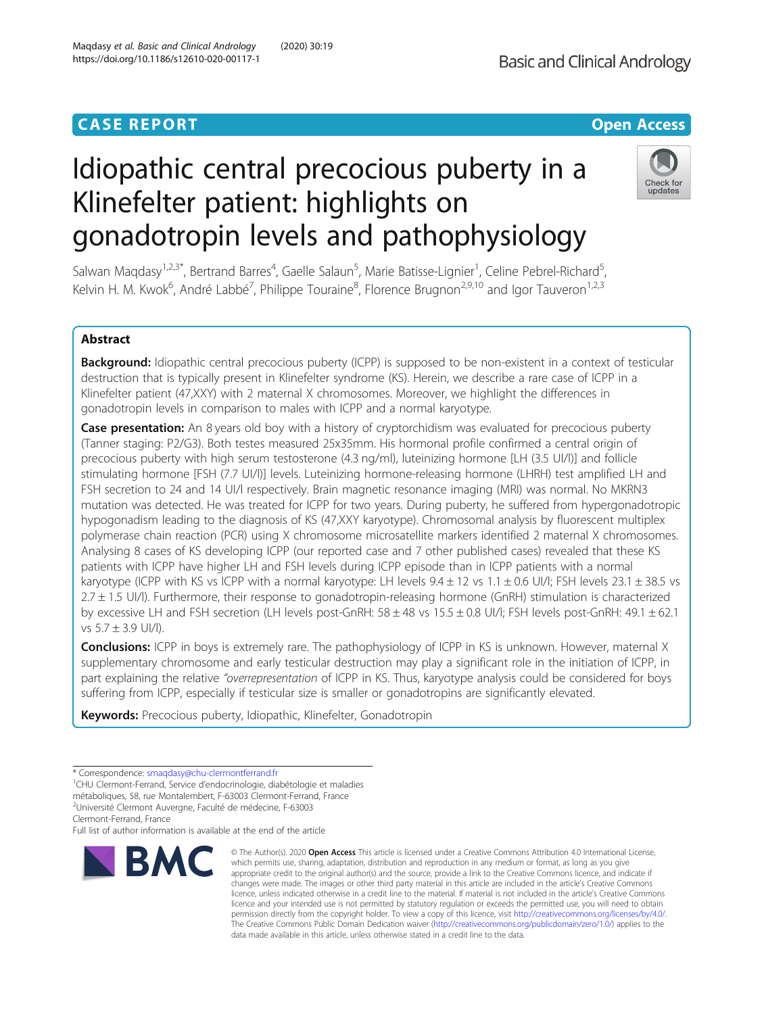# **CASE REPORT CASE REPORT CASE REPORT**

# Idiopathic central precocious puberty in a Klinefelter patient: highlights on gonadotropin levels and pathophysiology



Salwan Maqdasy<sup>1,2,3\*</sup>, Bertrand Barres<sup>4</sup>, Gaelle Salaun<sup>5</sup>, Marie Batisse-Lignier<sup>1</sup>, Celine Pebrel-Richard<sup>5</sup> , Kelvin H. M. Kwok<sup>6</sup>, André Labbé<sup>7</sup>, Philippe Touraine<sup>8</sup>, Florence Brugnon<sup>2,9,10</sup> and Igor Tauveron<sup>1,2,3</sup>

## Abstract

Background: Idiopathic central precocious puberty (ICPP) is supposed to be non-existent in a context of testicular destruction that is typically present in Klinefelter syndrome (KS). Herein, we describe a rare case of ICPP in a Klinefelter patient (47,XXY) with 2 maternal X chromosomes. Moreover, we highlight the differences in gonadotropin levels in comparison to males with ICPP and a normal karyotype.

Case presentation: An 8 years old boy with a history of cryptorchidism was evaluated for precocious puberty (Tanner staging: P2/G3). Both testes measured 25x35mm. His hormonal profile confirmed a central origin of precocious puberty with high serum testosterone (4.3 ng/ml), luteinizing hormone [LH (3.5 UI/l)] and follicle stimulating hormone [FSH (7.7 UI/l)] levels. Luteinizing hormone-releasing hormone (LHRH) test amplified LH and FSH secretion to 24 and 14 UI/l respectively. Brain magnetic resonance imaging (MRI) was normal. No MKRN3 mutation was detected. He was treated for ICPP for two years. During puberty, he suffered from hypergonadotropic hypogonadism leading to the diagnosis of KS (47,XXY karyotype). Chromosomal analysis by fluorescent multiplex polymerase chain reaction (PCR) using X chromosome microsatellite markers identified 2 maternal X chromosomes. Analysing 8 cases of KS developing ICPP (our reported case and 7 other published cases) revealed that these KS patients with ICPP have higher LH and FSH levels during ICPP episode than in ICPP patients with a normal karyotype (ICPP with KS vs ICPP with a normal karyotype: LH levels  $9.4 \pm 12$  vs  $1.1 \pm 0.6$  UI/l; FSH levels  $23.1 \pm 38.5$  vs 2.7 ± 1.5 UI/l). Furthermore, their response to gonadotropin-releasing hormone (GnRH) stimulation is characterized by excessive LH and FSH secretion (LH levels post-GnRH: 58 ± 48 vs 15.5 ± 0.8 UI/l; FSH levels post-GnRH: 49.1 ± 62.1 vs 5.7 ± 3.9 UI/l).

**Conclusions:** ICPP in boys is extremely rare. The pathophysiology of ICPP in KS is unknown. However, maternal X supplementary chromosome and early testicular destruction may play a significant role in the initiation of ICPP, in part explaining the relative "overrepresentation of ICPP in KS. Thus, karyotype analysis could be considered for boys suffering from ICPP, especially if testicular size is smaller or gonadotropins are significantly elevated.

Keywords: Precocious puberty, Idiopathic, Klinefelter, Gonadotropin

<sup>1</sup>CHU Clermont-Ferrand, Service d'endocrinologie, diabétologie et maladies

métaboliques, 58, rue Montalembert, F-63003 Clermont-Ferrand, France

2 Université Clermont Auvergne, Faculté de médecine, F-63003

Clermont-Ferrand, France

Full list of author information is available at the end of the article



<sup>©</sup> The Author(s), 2020 **Open Access** This article is licensed under a Creative Commons Attribution 4.0 International License, which permits use, sharing, adaptation, distribution and reproduction in any medium or format, as long as you give appropriate credit to the original author(s) and the source, provide a link to the Creative Commons licence, and indicate if changes were made. The images or other third party material in this article are included in the article's Creative Commons licence, unless indicated otherwise in a credit line to the material. If material is not included in the article's Creative Commons licence and your intended use is not permitted by statutory regulation or exceeds the permitted use, you will need to obtain permission directly from the copyright holder. To view a copy of this licence, visit [http://creativecommons.org/licenses/by/4.0/.](http://creativecommons.org/licenses/by/4.0/) The Creative Commons Public Domain Dedication waiver [\(http://creativecommons.org/publicdomain/zero/1.0/](http://creativecommons.org/publicdomain/zero/1.0/)) applies to the data made available in this article, unless otherwise stated in a credit line to the data.

<sup>\*</sup> Correspondence: [smaqdasy@chu-clermontferrand.fr](mailto:smaqdasy@chu-clermontferrand.fr) <sup>1</sup>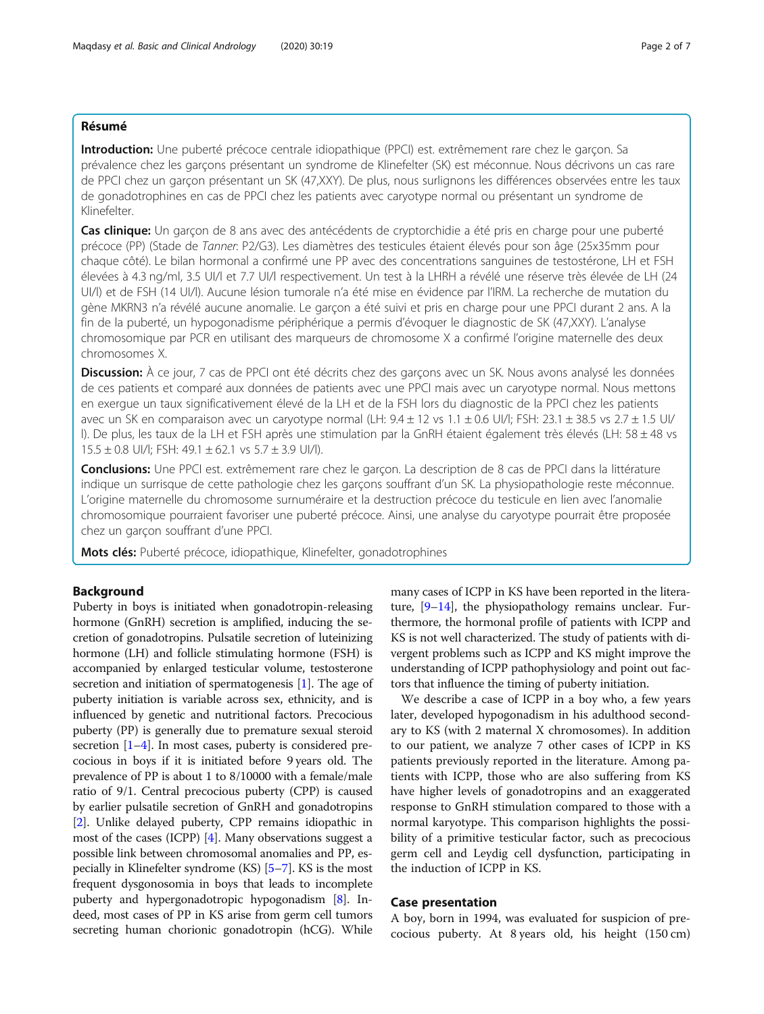### Résumé

Introduction: Une puberté précoce centrale idiopathique (PPCI) est. extrêmement rare chez le garçon. Sa prévalence chez les garçons présentant un syndrome de Klinefelter (SK) est méconnue. Nous décrivons un cas rare de PPCI chez un garçon présentant un SK (47,XXY). De plus, nous surlignons les différences observées entre les taux de gonadotrophines en cas de PPCI chez les patients avec caryotype normal ou présentant un syndrome de Klinefelter.

Cas clinique: Un garçon de 8 ans avec des antécédents de cryptorchidie a été pris en charge pour une puberté précoce (PP) (Stade de Tanner: P2/G3). Les diamètres des testicules étaient élevés pour son âge (25x35mm pour chaque côté). Le bilan hormonal a confirmé une PP avec des concentrations sanguines de testostérone, LH et FSH élevées à 4.3 ng/ml, 3.5 UI/l et 7.7 UI/l respectivement. Un test à la LHRH a révélé une réserve très élevée de LH (24 UI/l) et de FSH (14 UI/l). Aucune lésion tumorale n'a été mise en évidence par l'IRM. La recherche de mutation du gène MKRN3 n'a révélé aucune anomalie. Le garçon a été suivi et pris en charge pour une PPCI durant 2 ans. A la fin de la puberté, un hypogonadisme périphérique a permis d'évoquer le diagnostic de SK (47,XXY). L'analyse chromosomique par PCR en utilisant des marqueurs de chromosome X a confirmé l'origine maternelle des deux chromosomes X.

Discussion: À ce jour, 7 cas de PPCI ont été décrits chez des garçons avec un SK. Nous avons analysé les données de ces patients et comparé aux données de patients avec une PPCI mais avec un caryotype normal. Nous mettons en exergue un taux significativement élevé de la LH et de la FSH lors du diagnostic de la PPCI chez les patients avec un SK en comparaison avec un caryotype normal (LH:  $9.4 \pm 12$  vs  $1.1 \pm 0.6$  UI/l; FSH: 23.1  $\pm$  38.5 vs 2.7  $\pm$  1.5 UI/ l). De plus, les taux de la LH et FSH après une stimulation par la GnRH étaient également très élevés (LH: 58 ± 48 vs  $15.5 \pm 0.8$  UI/I; FSH: 49.1  $\pm$  62.1 vs 5.7  $\pm$  3.9 UI/I).

Conclusions: Une PPCI est. extrêmement rare chez le garçon. La description de 8 cas de PPCI dans la littérature indique un surrisque de cette pathologie chez les garçons souffrant d'un SK. La physiopathologie reste méconnue. L'origine maternelle du chromosome surnuméraire et la destruction précoce du testicule en lien avec l'anomalie chromosomique pourraient favoriser une puberté précoce. Ainsi, une analyse du caryotype pourrait être proposée chez un garçon souffrant d'une PPCI.

Mots clés: Puberté précoce, idiopathique, Klinefelter, gonadotrophines

#### Background

Puberty in boys is initiated when gonadotropin-releasing hormone (GnRH) secretion is amplified, inducing the secretion of gonadotropins. Pulsatile secretion of luteinizing hormone (LH) and follicle stimulating hormone (FSH) is accompanied by enlarged testicular volume, testosterone secretion and initiation of spermatogenesis [[1\]](#page-5-0). The age of puberty initiation is variable across sex, ethnicity, and is influenced by genetic and nutritional factors. Precocious puberty (PP) is generally due to premature sexual steroid secretion [\[1](#page-5-0)–[4\]](#page-5-0). In most cases, puberty is considered precocious in boys if it is initiated before 9 years old. The prevalence of PP is about 1 to 8/10000 with a female/male ratio of 9/1. Central precocious puberty (CPP) is caused by earlier pulsatile secretion of GnRH and gonadotropins [[2\]](#page-5-0). Unlike delayed puberty, CPP remains idiopathic in most of the cases (ICPP) [\[4\]](#page-5-0). Many observations suggest a possible link between chromosomal anomalies and PP, especially in Klinefelter syndrome (KS) [\[5](#page-5-0)–[7\]](#page-5-0). KS is the most frequent dysgonosomia in boys that leads to incomplete puberty and hypergonadotropic hypogonadism [[8](#page-5-0)]. Indeed, most cases of PP in KS arise from germ cell tumors secreting human chorionic gonadotropin (hCG). While

many cases of ICPP in KS have been reported in the literature, [[9](#page-5-0)–[14](#page-5-0)], the physiopathology remains unclear. Furthermore, the hormonal profile of patients with ICPP and KS is not well characterized. The study of patients with divergent problems such as ICPP and KS might improve the understanding of ICPP pathophysiology and point out factors that influence the timing of puberty initiation.

We describe a case of ICPP in a boy who, a few years later, developed hypogonadism in his adulthood secondary to KS (with 2 maternal X chromosomes). In addition to our patient, we analyze 7 other cases of ICPP in KS patients previously reported in the literature. Among patients with ICPP, those who are also suffering from KS have higher levels of gonadotropins and an exaggerated response to GnRH stimulation compared to those with a normal karyotype. This comparison highlights the possibility of a primitive testicular factor, such as precocious germ cell and Leydig cell dysfunction, participating in the induction of ICPP in KS.

#### Case presentation

A boy, born in 1994, was evaluated for suspicion of precocious puberty. At 8 years old, his height (150 cm)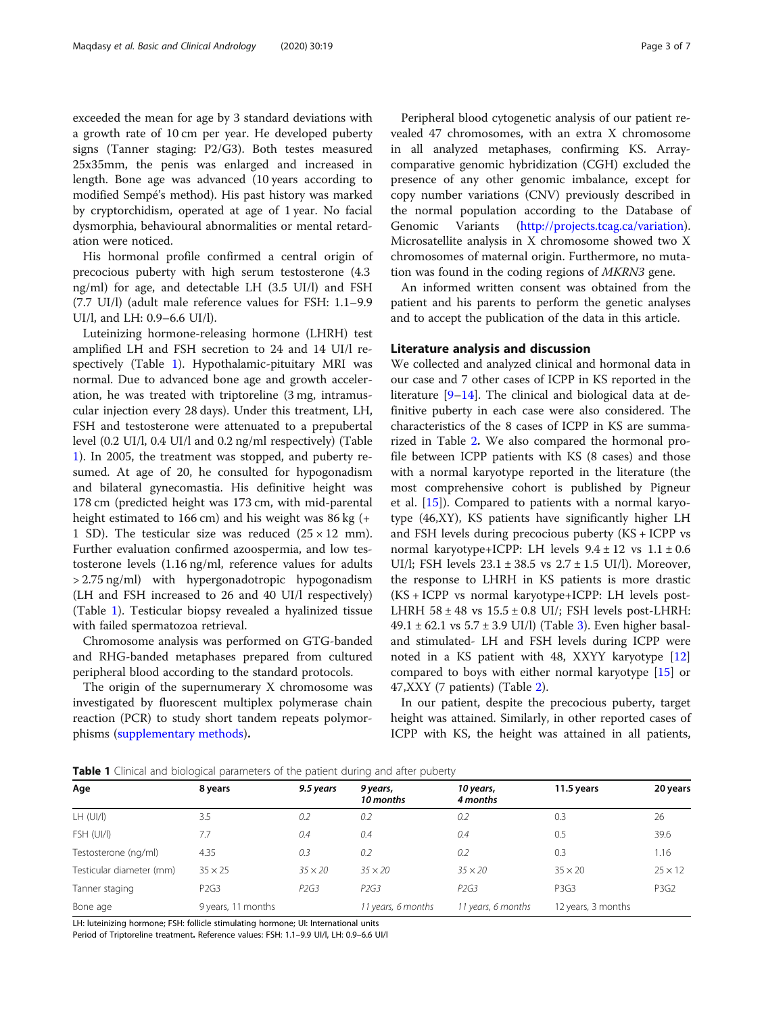exceeded the mean for age by 3 standard deviations with a growth rate of 10 cm per year. He developed puberty signs (Tanner staging: P2/G3). Both testes measured 25x35mm, the penis was enlarged and increased in length. Bone age was advanced (10 years according to modified Sempé's method). His past history was marked by cryptorchidism, operated at age of 1 year. No facial dysmorphia, behavioural abnormalities or mental retardation were noticed.

His hormonal profile confirmed a central origin of precocious puberty with high serum testosterone (4.3 ng/ml) for age, and detectable LH (3.5 UI/l) and FSH (7.7 UI/l) (adult male reference values for FSH: 1.1–9.9 UI/l, and LH: 0.9–6.6 UI/l).

Luteinizing hormone-releasing hormone (LHRH) test amplified LH and FSH secretion to 24 and 14 UI/l respectively (Table 1). Hypothalamic-pituitary MRI was normal. Due to advanced bone age and growth acceleration, he was treated with triptoreline (3 mg, intramuscular injection every 28 days). Under this treatment, LH, FSH and testosterone were attenuated to a prepubertal level (0.2 UI/l, 0.4 UI/l and 0.2 ng/ml respectively) (Table 1). In 2005, the treatment was stopped, and puberty resumed. At age of 20, he consulted for hypogonadism and bilateral gynecomastia. His definitive height was 178 cm (predicted height was 173 cm, with mid-parental height estimated to 166 cm) and his weight was 86 kg (+ 1 SD). The testicular size was reduced  $(25 \times 12 \text{ mm})$ . Further evaluation confirmed azoospermia, and low testosterone levels (1.16 ng/ml, reference values for adults > 2.75 ng/ml) with hypergonadotropic hypogonadism (LH and FSH increased to 26 and 40 UI/l respectively) (Table 1). Testicular biopsy revealed a hyalinized tissue with failed spermatozoa retrieval.

Chromosome analysis was performed on GTG-banded and RHG-banded metaphases prepared from cultured peripheral blood according to the standard protocols.

The origin of the supernumerary X chromosome was investigated by fluorescent multiplex polymerase chain reaction (PCR) to study short tandem repeats polymorphisms ([supplementary methods\)](#page-4-0).

Peripheral blood cytogenetic analysis of our patient revealed 47 chromosomes, with an extra X chromosome in all analyzed metaphases, confirming KS. Arraycomparative genomic hybridization (CGH) excluded the presence of any other genomic imbalance, except for copy number variations (CNV) previously described in the normal population according to the Database of Genomic Variants (<http://projects.tcag.ca/variation>). Microsatellite analysis in X chromosome showed two X chromosomes of maternal origin. Furthermore, no mutation was found in the coding regions of MKRN3 gene.

An informed written consent was obtained from the patient and his parents to perform the genetic analyses and to accept the publication of the data in this article.

#### Literature analysis and discussion

We collected and analyzed clinical and hormonal data in our case and 7 other cases of ICPP in KS reported in the literature [[9](#page-5-0)–[14\]](#page-5-0). The clinical and biological data at definitive puberty in each case were also considered. The characteristics of the 8 cases of ICPP in KS are summarized in Table [2](#page-3-0). We also compared the hormonal profile between ICPP patients with KS (8 cases) and those with a normal karyotype reported in the literature (the most comprehensive cohort is published by Pigneur et al. [\[15](#page-5-0)]). Compared to patients with a normal karyotype (46,XY), KS patients have significantly higher LH and FSH levels during precocious puberty (KS + ICPP vs normal karyotype+ICPP: LH levels  $9.4 \pm 12$  vs  $1.1 \pm 0.6$ UI/l; FSH levels  $23.1 \pm 38.5$  vs  $2.7 \pm 1.5$  UI/l). Moreover, the response to LHRH in KS patients is more drastic (KS + ICPP vs normal karyotype+ICPP: LH levels post-LHRH  $58 \pm 48$  vs  $15.5 \pm 0.8$  UI/; FSH levels post-LHRH: 49.1  $\pm$  62.1 vs 5.7  $\pm$  [3](#page-3-0).9 UI/l) (Table 3). Even higher basaland stimulated- LH and FSH levels during ICPP were noted in a KS patient with 48, XXYY karyotype [[12](#page-5-0)] compared to boys with either normal karyotype [[15\]](#page-5-0) or 47,XXY (7 patients) (Table [2\)](#page-3-0).

In our patient, despite the precocious puberty, target height was attained. Similarly, in other reported cases of ICPP with KS, the height was attained in all patients,

| Table 1 Clinical and biological parameters of the patient during and after puberty |  |
|------------------------------------------------------------------------------------|--|
|------------------------------------------------------------------------------------|--|

| Age                      | 8 years            | 9.5 years      | 9 years,<br>10 months | 10 years,<br>4 months | 11.5 years         | 20 years       |  |  |
|--------------------------|--------------------|----------------|-----------------------|-----------------------|--------------------|----------------|--|--|
| $LH$ (UI/I)              | 3.5                | 0.2            | 0.2                   | 0.2                   | 0.3                | 26             |  |  |
| FSH (UI/I)               | 7.7                | 0.4            | 0.4                   | 0.4                   | 0.5                | 39.6           |  |  |
| Testosterone (ng/ml)     | 4.35               | 0.3            | 0.2                   | 0.2                   | 0.3                | 1.16           |  |  |
| Testicular diameter (mm) | $35 \times 25$     | $35 \times 20$ | $35 \times 20$        | $35 \times 20$        | $35 \times 20$     | $25 \times 12$ |  |  |
| Tanner staging           | <b>P2G3</b>        | P2G3           | P2G3                  | P <sub>2G</sub> 3     | <b>P3G3</b>        | <b>P3G2</b>    |  |  |
| Bone age                 | 9 years, 11 months |                | 11 years, 6 months    | 11 years, 6 months    | 12 years, 3 months |                |  |  |

LH: luteinizing hormone; FSH: follicle stimulating hormone; UI: International units

Period of Triptoreline treatment. Reference values: FSH: 1.1–9.9 UI/l, LH: 0.9–6.6 UI/l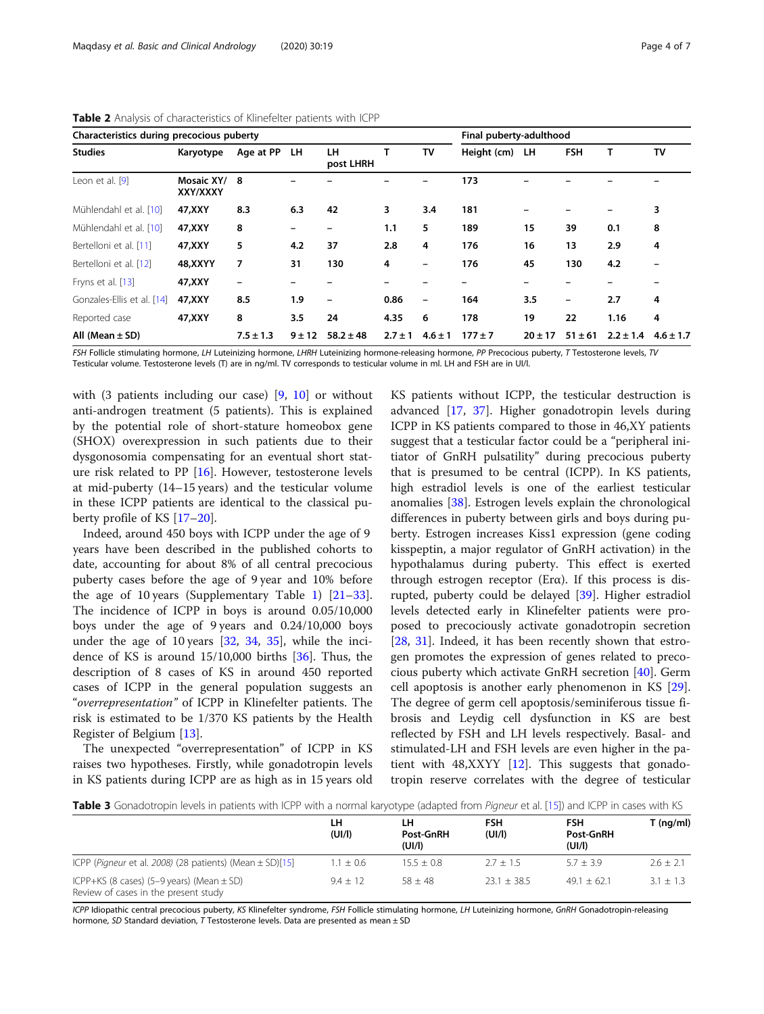| Characteristics during precocious puberty |                        |                          |          |                 |             |                          | Final puberty-adulthood |             |             |               |               |
|-------------------------------------------|------------------------|--------------------------|----------|-----------------|-------------|--------------------------|-------------------------|-------------|-------------|---------------|---------------|
| <b>Studies</b>                            | Karyotype              | Age at PP                | LH.      | LH<br>post LHRH | т           | TV                       | Height (cm)             | LH          | <b>FSH</b>  | т             | TV            |
| Leon et al. [9]                           | Mosaic XY/<br>XXY/XXXY | 8                        |          |                 |             |                          | 173                     |             |             |               |               |
| Mühlendahl et al. [10]                    | 47, XXY                | 8.3                      | 6.3      | 42              | 3           | 3.4                      | 181                     |             |             |               | 3             |
| Mühlendahl et al. [10]                    | 47.XXY                 | 8                        |          |                 | 1.1         | 5                        | 189                     | 15          | 39          | 0.1           | 8             |
| Bertelloni et al. [11]                    | 47, XXY                | 5                        | 4.2      | 37              | 2.8         | 4                        | 176                     | 16          | 13          | 2.9           | 4             |
| Bertelloni et al. [12]                    | 48, XXYY               | 7                        | 31       | 130             | 4           | $\overline{\phantom{0}}$ | 176                     | 45          | 130         | 4.2           |               |
| Fryns et al. [13]                         | 47, XXY                | $\overline{\phantom{0}}$ |          |                 |             |                          |                         |             |             |               |               |
| Gonzales-Ellis et al. [14]                | 47.XXY                 | 8.5                      | 1.9      |                 | 0.86        | $\overline{\phantom{a}}$ | 164                     | 3.5         | -           | 2.7           | 4             |
| Reported case                             | 47.XXY                 | 8                        | 3.5      | 24              | 4.35        | 6                        | 178                     | 19          | 22          | 1.16          | 4             |
| All (Mean $\pm$ SD)                       |                        | $7.5 \pm 1.3$            | $9 + 12$ | $58.2 \pm 48$   | $2.7 \pm 1$ | $4.6 \pm 1$              | $177 \pm 7$             | $20 \pm 17$ | $51 \pm 61$ | $2.2 \pm 1.4$ | $4.6 \pm 1.7$ |

<span id="page-3-0"></span>Table 2 Analysis of characteristics of Klinefelter patients with ICPP

FSH Follicle stimulating hormone, LH Luteinizing hormone, LHRH Luteinizing hormone-releasing hormone, PP Precocious puberty, T Testosterone levels, TV Testicular volume. Testosterone levels (T) are in ng/ml. TV corresponds to testicular volume in ml. LH and FSH are in UI/l.

with (3 patients including our case) [[9,](#page-5-0) [10](#page-5-0)] or without anti-androgen treatment (5 patients). This is explained by the potential role of short-stature homeobox gene (SHOX) overexpression in such patients due to their dysgonosomia compensating for an eventual short stature risk related to PP [[16\]](#page-5-0). However, testosterone levels at mid-puberty (14–15 years) and the testicular volume in these ICPP patients are identical to the classical puberty profile of KS [\[17](#page-5-0)–[20\]](#page-5-0).

Indeed, around 450 boys with ICPP under the age of 9 years have been described in the published cohorts to date, accounting for about 8% of all central precocious puberty cases before the age of 9 year and 10% before the age of 10 years (Supplementary Table [1\)](#page-4-0) [[21](#page-5-0)–[33](#page-5-0)]. The incidence of ICPP in boys is around 0.05/10,000 boys under the age of 9 years and 0.24/10,000 boys under the age of 10 years [[32](#page-5-0), [34](#page-5-0), [35\]](#page-5-0), while the incidence of KS is around 15/10,000 births [\[36](#page-5-0)]. Thus, the description of 8 cases of KS in around 450 reported cases of ICPP in the general population suggests an "overrepresentation" of ICPP in Klinefelter patients. The risk is estimated to be 1/370 KS patients by the Health Register of Belgium [[13\]](#page-5-0).

The unexpected "overrepresentation" of ICPP in KS raises two hypotheses. Firstly, while gonadotropin levels in KS patients during ICPP are as high as in 15 years old

KS patients without ICPP, the testicular destruction is advanced [\[17](#page-5-0), [37\]](#page-5-0). Higher gonadotropin levels during ICPP in KS patients compared to those in 46,XY patients suggest that a testicular factor could be a "peripheral initiator of GnRH pulsatility" during precocious puberty that is presumed to be central (ICPP). In KS patients, high estradiol levels is one of the earliest testicular anomalies [[38\]](#page-5-0). Estrogen levels explain the chronological differences in puberty between girls and boys during puberty. Estrogen increases Kiss1 expression (gene coding kisspeptin, a major regulator of GnRH activation) in the hypothalamus during puberty. This effect is exerted through estrogen receptor ( $Era$ ). If this process is disrupted, puberty could be delayed [[39\]](#page-5-0). Higher estradiol levels detected early in Klinefelter patients were proposed to precociously activate gonadotropin secretion [[28,](#page-5-0) [31\]](#page-5-0). Indeed, it has been recently shown that estrogen promotes the expression of genes related to precocious puberty which activate GnRH secretion [[40\]](#page-5-0). Germ cell apoptosis is another early phenomenon in KS [\[29](#page-5-0)]. The degree of germ cell apoptosis/seminiferous tissue fibrosis and Leydig cell dysfunction in KS are best reflected by FSH and LH levels respectively. Basal- and stimulated-LH and FSH levels are even higher in the patient with 48,XXYY [\[12](#page-5-0)]. This suggests that gonadotropin reserve correlates with the degree of testicular

Table 3 Gonadotropin levels in patients with ICPP with a normal karyotype (adapted from Pigneur et al. [\[15\]](#page-5-0)) and ICPP in cases with KS

|                                                                                       | LН<br>(UI/I) | LН<br><b>Post-GnRH</b><br>(U / ) | <b>FSH</b><br>(U I ) | <b>FSH</b><br><b>Post-GnRH</b><br>(U / ) | $T$ (ng/ml)   |
|---------------------------------------------------------------------------------------|--------------|----------------------------------|----------------------|------------------------------------------|---------------|
| ICPP ( <i>Pigneur</i> et al. 2008) (28 patients) (Mean $\pm$ SD)[15]                  | $1.1 + 0.6$  | $15.5 + 0.8$                     | $2.7 + 1.5$          | $57 + 39$                                | $2.6 + 2.1$   |
| ICPP+KS (8 cases) (5-9 years) (Mean $\pm$ SD)<br>Review of cases in the present study | $9.4 + 12$   | $58 + 48$                        | $23.1 + 38.5$        | $49.1 + 62.1$                            | $3.1 \pm 1.3$ |

ICPP Idiopathic central precocious puberty, KS Klinefelter syndrome, FSH Follicle stimulating hormone, LH Luteinizing hormone, GnRH Gonadotropin-releasing hormone, SD Standard deviation, T Testosterone levels. Data are presented as mean  $\pm$  SD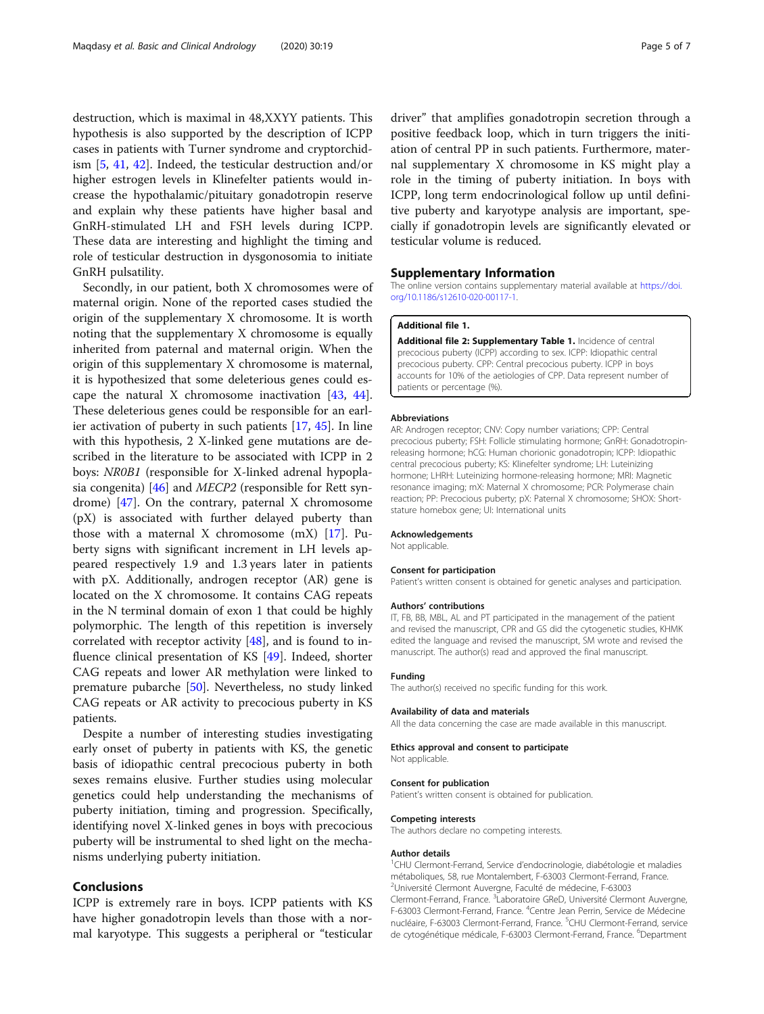<span id="page-4-0"></span>destruction, which is maximal in 48,XXYY patients. This hypothesis is also supported by the description of ICPP cases in patients with Turner syndrome and cryptorchidism [[5,](#page-5-0) [41](#page-5-0), [42\]](#page-5-0). Indeed, the testicular destruction and/or higher estrogen levels in Klinefelter patients would increase the hypothalamic/pituitary gonadotropin reserve and explain why these patients have higher basal and GnRH-stimulated LH and FSH levels during ICPP. These data are interesting and highlight the timing and role of testicular destruction in dysgonosomia to initiate GnRH pulsatility.

Secondly, in our patient, both X chromosomes were of maternal origin. None of the reported cases studied the origin of the supplementary X chromosome. It is worth noting that the supplementary X chromosome is equally inherited from paternal and maternal origin. When the origin of this supplementary X chromosome is maternal, it is hypothesized that some deleterious genes could escape the natural X chromosome inactivation [\[43](#page-6-0), [44](#page-6-0)]. These deleterious genes could be responsible for an earlier activation of puberty in such patients [\[17](#page-5-0), [45](#page-6-0)]. In line with this hypothesis, 2 X-linked gene mutations are described in the literature to be associated with ICPP in 2 boys: NR0B1 (responsible for X-linked adrenal hypoplasia congenita) [\[46\]](#page-6-0) and MECP2 (responsible for Rett syndrome) [[47\]](#page-6-0). On the contrary, paternal X chromosome (pX) is associated with further delayed puberty than those with a maternal X chromosome (mX) [\[17\]](#page-5-0). Puberty signs with significant increment in LH levels appeared respectively 1.9 and 1.3 years later in patients with pX. Additionally, androgen receptor (AR) gene is located on the X chromosome. It contains CAG repeats in the N terminal domain of exon 1 that could be highly polymorphic. The length of this repetition is inversely correlated with receptor activity [[48](#page-6-0)], and is found to influence clinical presentation of KS [\[49](#page-6-0)]. Indeed, shorter CAG repeats and lower AR methylation were linked to premature pubarche [\[50\]](#page-6-0). Nevertheless, no study linked CAG repeats or AR activity to precocious puberty in KS patients.

Despite a number of interesting studies investigating early onset of puberty in patients with KS, the genetic basis of idiopathic central precocious puberty in both sexes remains elusive. Further studies using molecular genetics could help understanding the mechanisms of puberty initiation, timing and progression. Specifically, identifying novel X-linked genes in boys with precocious puberty will be instrumental to shed light on the mechanisms underlying puberty initiation.

#### Conclusions

ICPP is extremely rare in boys. ICPP patients with KS have higher gonadotropin levels than those with a normal karyotype. This suggests a peripheral or "testicular

driver" that amplifies gonadotropin secretion through a positive feedback loop, which in turn triggers the initiation of central PP in such patients. Furthermore, maternal supplementary X chromosome in KS might play a role in the timing of puberty initiation. In boys with ICPP, long term endocrinological follow up until definitive puberty and karyotype analysis are important, specially if gonadotropin levels are significantly elevated or testicular volume is reduced.

#### Supplementary Information

The online version contains supplementary material available at [https://doi.](https://doi.org/10.1186/s12610-020-00117-1) [org/10.1186/s12610-020-00117-1.](https://doi.org/10.1186/s12610-020-00117-1)

#### Additional file 1.

Additional file 2: Supplementary Table 1. Incidence of central precocious puberty (ICPP) according to sex. ICPP: Idiopathic central precocious puberty. CPP: Central precocious puberty. ICPP in boys accounts for 10% of the aetiologies of CPP. Data represent number of patients or percentage (%).

#### Abbreviations

AR: Androgen receptor; CNV: Copy number variations; CPP: Central precocious puberty; FSH: Follicle stimulating hormone; GnRH: Gonadotropinreleasing hormone; hCG: Human chorionic gonadotropin; ICPP: Idiopathic central precocious puberty; KS: Klinefelter syndrome; LH: Luteinizing hormone; LHRH: Luteinizing hormone-releasing hormone; MRI: Magnetic resonance imaging; mX: Maternal X chromosome; PCR: Polymerase chain reaction; PP: Precocious puberty; pX: Paternal X chromosome; SHOX: Shortstature homebox gene; UI: International units

#### Acknowledgements

Not applicable.

#### Consent for participation

Patient's written consent is obtained for genetic analyses and participation.

#### Authors' contributions

IT, FB, BB, MBL, AL and PT participated in the management of the patient and revised the manuscript, CPR and GS did the cytogenetic studies, KHMK edited the language and revised the manuscript, SM wrote and revised the manuscript. The author(s) read and approved the final manuscript.

#### Funding

The author(s) received no specific funding for this work.

#### Availability of data and materials

All the data concerning the case are made available in this manuscript.

#### Ethics approval and consent to participate

Not applicable.

#### Consent for publication

Patient's written consent is obtained for publication.

#### Competing interests

The authors declare no competing interests.

#### Author details

<sup>1</sup>CHU Clermont-Ferrand, Service d'endocrinologie, diabétologie et maladies métaboliques, 58, rue Montalembert, F-63003 Clermont-Ferrand, France. 2 Université Clermont Auvergne, Faculté de médecine, F-63003 Clermont-Ferrand, France. <sup>3</sup>Laboratoire GReD, Université Clermont Auvergne,

F-63003 Clermont-Ferrand, France. <sup>4</sup>Centre Jean Perrin, Service de Médecine nucléaire, F-63003 Clermont-Ferrand, France. <sup>5</sup>CHU Clermont-Ferrand, service de cytogénétique médicale, F-63003 Clermont-Ferrand, France. <sup>6</sup>Department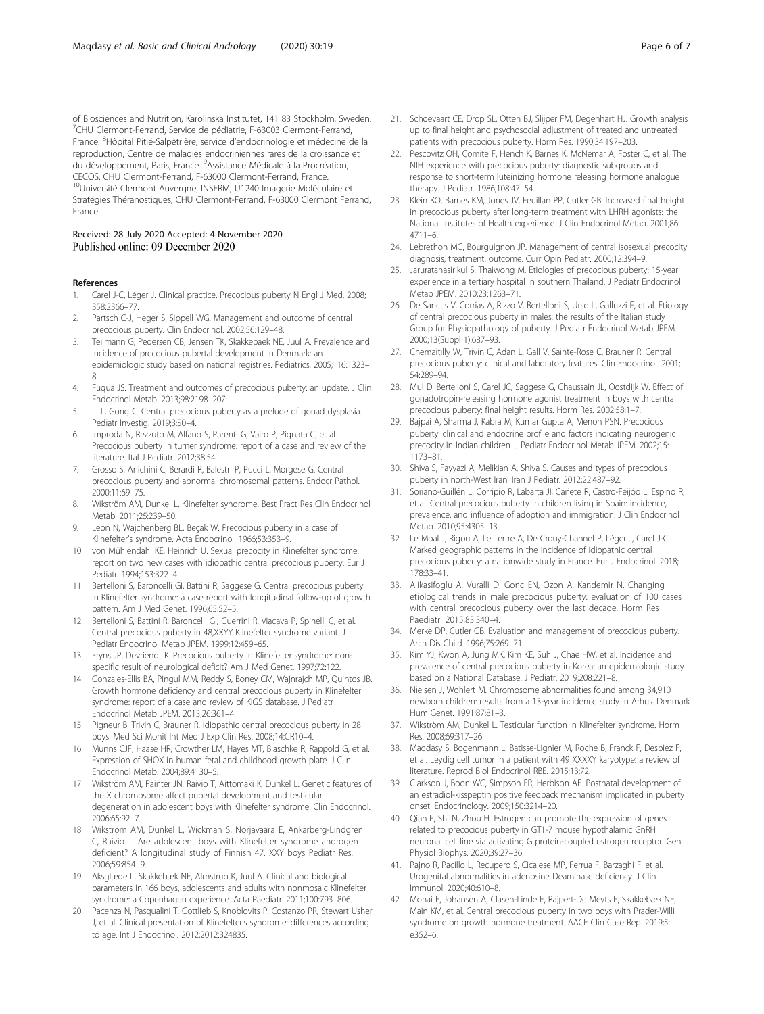<span id="page-5-0"></span>of Biosciences and Nutrition, Karolinska Institutet, 141 83 Stockholm, Sweden. <sup>7</sup>CHU Clermont-Ferrand, Service de pédiatrie, F-63003 Clermont-Ferrand, France. <sup>8</sup>Hôpital Pitié-Salpêtrière, service d'endocrinologie et médecine de la reproduction, Centre de maladies endocriniennes rares de la croissance et du développement, Paris, France. <sup>9</sup>Assistance Médicale à la Procréation, CECOS, CHU Clermont-Ferrand, F-63000 Clermont-Ferrand, France. <sup>10</sup>Université Clermont Auvergne, INSERM, U1240 Imagerie Moléculaire et Stratégies Théranostiques, CHU Clermont-Ferrand, F-63000 Clermont Ferrand, France.

#### Received: 28 July 2020 Accepted: 4 November 2020 Published online: 09 December 2020

#### References

- 1. Carel J-C, Léger J. Clinical practice. Precocious puberty N Engl J Med. 2008; 358:2366–77.
- Partsch C-J, Heger S, Sippell WG. Management and outcome of central precocious puberty. Clin Endocrinol. 2002;56:129–48.
- 3. Teilmann G, Pedersen CB, Jensen TK, Skakkebaek NE, Juul A. Prevalence and incidence of precocious pubertal development in Denmark: an epidemiologic study based on national registries. Pediatrics. 2005;116:1323– 8.
- 4. Fuqua JS. Treatment and outcomes of precocious puberty: an update. J Clin Endocrinol Metab. 2013;98:2198–207.
- Li L, Gong C. Central precocious puberty as a prelude of gonad dysplasia. Pediatr Investig. 2019;3:50–4.
- 6. Improda N, Rezzuto M, Alfano S, Parenti G, Vajro P, Pignata C, et al. Precocious puberty in turner syndrome: report of a case and review of the literature. Ital J Pediatr. 2012;38:54.
- 7. Grosso S, Anichini C, Berardi R, Balestri P, Pucci L, Morgese G. Central precocious puberty and abnormal chromosomal patterns. Endocr Pathol. 2000;11:69–75.
- 8. Wikström AM, Dunkel L. Klinefelter syndrome. Best Pract Res Clin Endocrinol Metab. 2011;25:239–50.
- 9. Leon N, Wajchenberg BL, Beçak W. Precocious puberty in a case of Klinefelter's syndrome. Acta Endocrinol. 1966;53:353–9.
- 10. von Mühlendahl KE, Heinrich U. Sexual precocity in Klinefelter syndrome: report on two new cases with idiopathic central precocious puberty. Eur J Pediatr. 1994;153:322–4.
- 11. Bertelloni S, Baroncelli GI, Battini R, Saggese G. Central precocious puberty in Klinefelter syndrome: a case report with longitudinal follow-up of growth pattern. Am J Med Genet. 1996;65:52–5.
- 12. Bertelloni S, Battini R, Baroncelli GI, Guerrini R, Viacava P, Spinelli C, et al. Central precocious puberty in 48,XXYY Klinefelter syndrome variant. J Pediatr Endocrinol Metab JPEM. 1999;12:459–65.
- 13. Fryns JP, Devriendt K. Precocious puberty in Klinefelter syndrome: nonspecific result of neurological deficit? Am J Med Genet. 1997;72:122.
- 14. Gonzales-Ellis BA, Pingul MM, Reddy S, Boney CM, Wajnrajch MP, Quintos JB. Growth hormone deficiency and central precocious puberty in Klinefelter syndrome: report of a case and review of KIGS database. J Pediatr Endocrinol Metab JPEM. 2013;26:361–4.
- 15. Pigneur B, Trivin C, Brauner R. Idiopathic central precocious puberty in 28 boys. Med Sci Monit Int Med J Exp Clin Res. 2008;14:CR10–4.
- 16. Munns CJF, Haase HR, Crowther LM, Hayes MT, Blaschke R, Rappold G, et al. Expression of SHOX in human fetal and childhood growth plate. J Clin Endocrinol Metab. 2004;89:4130–5.
- 17. Wikström AM, Painter JN, Raivio T, Aittomäki K, Dunkel L. Genetic features of the X chromosome affect pubertal development and testicular degeneration in adolescent boys with Klinefelter syndrome. Clin Endocrinol. 2006;65:92–7.
- 18. Wikström AM, Dunkel L, Wickman S, Norjavaara E, Ankarberg-Lindgren C, Raivio T. Are adolescent boys with Klinefelter syndrome androgen deficient? A longitudinal study of Finnish 47. XXY boys Pediatr Res. 2006;59:854–9.
- 19. Aksglæde L, Skakkebæk NE, Almstrup K, Juul A. Clinical and biological parameters in 166 boys, adolescents and adults with nonmosaic Klinefelter syndrome: a Copenhagen experience. Acta Paediatr. 2011;100:793–806.
- 20. Pacenza N, Pasqualini T, Gottlieb S, Knoblovits P, Costanzo PR, Stewart Usher J, et al. Clinical presentation of Klinefelter's syndrome: differences according to age. Int J Endocrinol. 2012;2012:324835.
- 21. Schoevaart CE, Drop SL, Otten BJ, Slijper FM, Degenhart HJ. Growth analysis up to final height and psychosocial adjustment of treated and untreated patients with precocious puberty. Horm Res. 1990;34:197–203.
- 22. Pescovitz OH, Comite F, Hench K, Barnes K, McNemar A, Foster C, et al. The NIH experience with precocious puberty: diagnostic subgroups and response to short-term luteinizing hormone releasing hormone analogue therapy. J Pediatr. 1986;108:47–54.
- 23. Klein KO, Barnes KM, Jones JV, Feuillan PP, Cutler GB. Increased final height in precocious puberty after long-term treatment with LHRH agonists: the National Institutes of Health experience. J Clin Endocrinol Metab. 2001;86: 4711–6.
- 24. Lebrethon MC, Bourguignon JP. Management of central isosexual precocity: diagnosis, treatment, outcome. Curr Opin Pediatr. 2000;12:394–9.
- 25. Jaruratanasirikul S, Thaiwong M. Etiologies of precocious puberty: 15-year experience in a tertiary hospital in southern Thailand. J Pediatr Endocrinol Metab JPEM. 2010;23:1263–71.
- 26. De Sanctis V, Corrias A, Rizzo V, Bertelloni S, Urso L, Galluzzi F, et al. Etiology of central precocious puberty in males: the results of the Italian study Group for Physiopathology of puberty. J Pediatr Endocrinol Metab JPEM. 2000;13(Suppl 1):687–93.
- 27. Chemaitilly W, Trivin C, Adan L, Gall V, Sainte-Rose C, Brauner R. Central precocious puberty: clinical and laboratory features. Clin Endocrinol. 2001; 54:289–94.
- 28. Mul D, Bertelloni S, Carel JC, Saggese G, Chaussain JL, Oostdijk W. Effect of gonadotropin-releasing hormone agonist treatment in boys with central precocious puberty: final height results. Horm Res. 2002;58:1–7.
- 29. Bajpai A, Sharma J, Kabra M, Kumar Gupta A, Menon PSN. Precocious puberty: clinical and endocrine profile and factors indicating neurogenic precocity in Indian children. J Pediatr Endocrinol Metab JPEM. 2002;15: 1173–81.
- 30. Shiva S, Fayyazi A, Melikian A, Shiva S. Causes and types of precocious puberty in north-West Iran. Iran J Pediatr. 2012;22:487–92.
- 31. Soriano-Guillén L, Corripio R, Labarta JI, Cañete R, Castro-Feijóo L, Espino R, et al. Central precocious puberty in children living in Spain: incidence, prevalence, and influence of adoption and immigration. J Clin Endocrinol Metab. 2010;95:4305–13.
- 32. Le Moal J, Rigou A, Le Tertre A, De Crouy-Channel P, Léger J, Carel J-C. Marked geographic patterns in the incidence of idiopathic central precocious puberty: a nationwide study in France. Eur J Endocrinol. 2018; 178:33–41.
- 33. Alikasifoglu A, Vuralli D, Gonc EN, Ozon A, Kandemir N. Changing etiological trends in male precocious puberty: evaluation of 100 cases with central precocious puberty over the last decade. Horm Res Paediatr. 2015;83:340–4.
- 34. Merke DP, Cutler GB. Evaluation and management of precocious puberty. Arch Dis Child. 1996;75:269–71.
- 35. Kim YJ, Kwon A, Jung MK, Kim KE, Suh J, Chae HW, et al. Incidence and prevalence of central precocious puberty in Korea: an epidemiologic study based on a National Database. J Pediatr. 2019;208:221–8.
- 36. Nielsen J, Wohlert M. Chromosome abnormalities found among 34,910 newborn children: results from a 13-year incidence study in Arhus. Denmark Hum Genet. 1991;87:81–3.
- 37. Wikström AM, Dunkel L. Testicular function in Klinefelter syndrome. Horm Res. 2008;69:317–26.
- 38. Maqdasy S, Bogenmann L, Batisse-Lignier M, Roche B, Franck F, Desbiez F, et al. Leydig cell tumor in a patient with 49 XXXXY karyotype: a review of literature. Reprod Biol Endocrinol RBE. 2015;13:72.
- 39. Clarkson J, Boon WC, Simpson ER, Herbison AE. Postnatal development of an estradiol-kisspeptin positive feedback mechanism implicated in puberty onset. Endocrinology. 2009;150:3214–20.
- 40. Qian F, Shi N, Zhou H. Estrogen can promote the expression of genes related to precocious puberty in GT1-7 mouse hypothalamic GnRH neuronal cell line via activating G protein-coupled estrogen receptor. Gen Physiol Biophys. 2020;39:27–36.
- 41. Pajno R, Pacillo L, Recupero S, Cicalese MP, Ferrua F, Barzaghi F, et al. Urogenital abnormalities in adenosine Deaminase deficiency. J Clin Immunol. 2020;40:610–8.
- 42. Monai E, Johansen A, Clasen-Linde E, Rajpert-De Meyts E, Skakkebæk NE, Main KM, et al. Central precocious puberty in two boys with Prader-Willi syndrome on growth hormone treatment. AACE Clin Case Rep. 2019;5: e352–6.